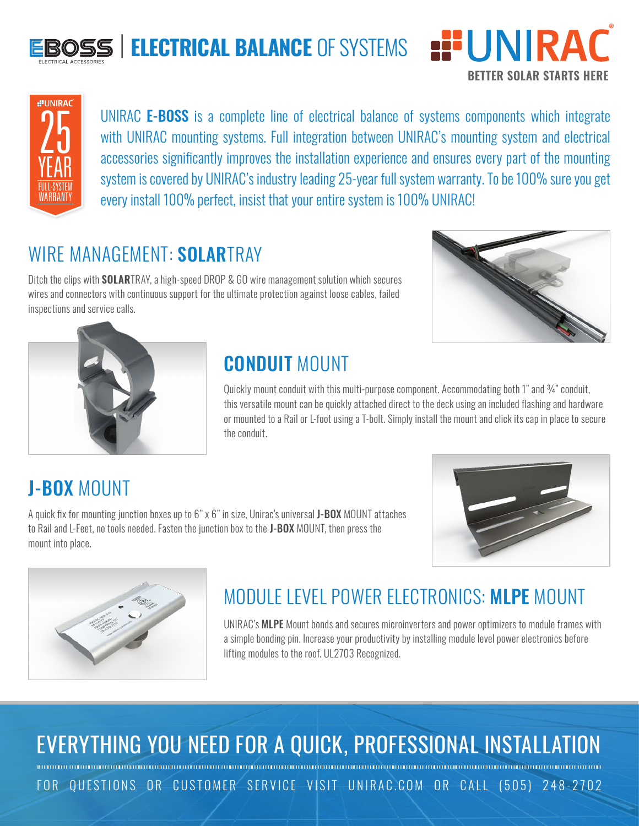

# **ELECTRICAL BALANCE** OF SYSTEMS **EPUNIRAC**





UNIRAC E-BOSS is a complete line of electrical balance of systems components which integrate with UNIRAC mounting systems. Full integration between UNIRAC's mounting system and electrical accessories significantly improves the installation experience and ensures every part of the mounting system is covered by UNIRAC's industry leading 25-year full system warranty. To be 100% sure you get every install 100% perfect, insist that your entire system is 100% UNIRAC!

#### WIRE MANAGEMENT: SOLARTRAY

Ditch the clips with **SOLAR**TRAY, a high-speed DROP & GO wire management solution which secures wires and connectors with continuous support for the ultimate protection against loose cables, failed inspections and service calls.

A quick fix for mounting junction boxes up to 6" x 6" in size, Unirac's universal J-BOX MOUNT attaches to Rail and L-Feet, no tools needed. Fasten the junction box to the J-BOX MOUNT, then press the





### CONDUIT MOUNT

Quickly mount conduit with this multi-purpose component. Accommodating both 1" and 3/4" conduit, this versatile mount can be quickly attached direct to the deck using an included flashing and hardware or mounted to a Rail or L-foot using a T-bolt. Simply install the mount and click its cap in place to secure the conduit.

### J-BOX MOUNT

mount into place.



## MODULE LEVEL POWER ELECTRONICS: MLPE MOUNT

UNIRAC's MLPE Mount bonds and secures microinverters and power optimizers to module frames with a simple bonding pin. Increase your productivity by installing module level power electronics before lifting modules to the roof. UL2703 Recognized.

## EVERYTHING YOU NEED FOR A QUICK, PROFESSIONAL INSTALLATION

FOR QUESTIONS OR CUSTOMER SERVICE VISIT UNIRAC.COM OR CALL (505) 248-2702